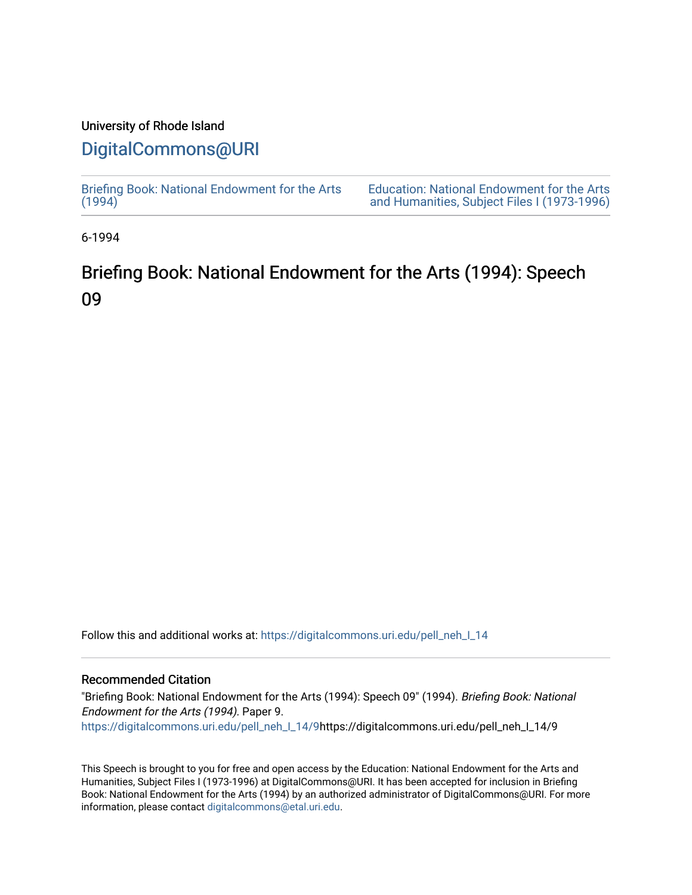# University of Rhode Island

# [DigitalCommons@URI](https://digitalcommons.uri.edu/)

[Briefing Book: National Endowment for the Arts](https://digitalcommons.uri.edu/pell_neh_I_14)  $(1994)$ [Education: National Endowment for the Arts](https://digitalcommons.uri.edu/pell_neh_I)  [and Humanities, Subject Files I \(1973-1996\)](https://digitalcommons.uri.edu/pell_neh_I) 

6-1994

# Briefing Book: National Endowment for the Arts (1994): Speech 09

Follow this and additional works at: [https://digitalcommons.uri.edu/pell\\_neh\\_I\\_14](https://digitalcommons.uri.edu/pell_neh_I_14?utm_source=digitalcommons.uri.edu%2Fpell_neh_I_14%2F9&utm_medium=PDF&utm_campaign=PDFCoverPages) 

#### Recommended Citation

"Briefing Book: National Endowment for the Arts (1994): Speech 09" (1994). Briefing Book: National Endowment for the Arts (1994). Paper 9. [https://digitalcommons.uri.edu/pell\\_neh\\_I\\_14/9h](https://digitalcommons.uri.edu/pell_neh_I_14/9?utm_source=digitalcommons.uri.edu%2Fpell_neh_I_14%2F9&utm_medium=PDF&utm_campaign=PDFCoverPages)ttps://digitalcommons.uri.edu/pell\_neh\_I\_14/9

This Speech is brought to you for free and open access by the Education: National Endowment for the Arts and Humanities, Subject Files I (1973-1996) at DigitalCommons@URI. It has been accepted for inclusion in Briefing Book: National Endowment for the Arts (1994) by an authorized administrator of DigitalCommons@URI. For more information, please contact [digitalcommons@etal.uri.edu.](mailto:digitalcommons@etal.uri.edu)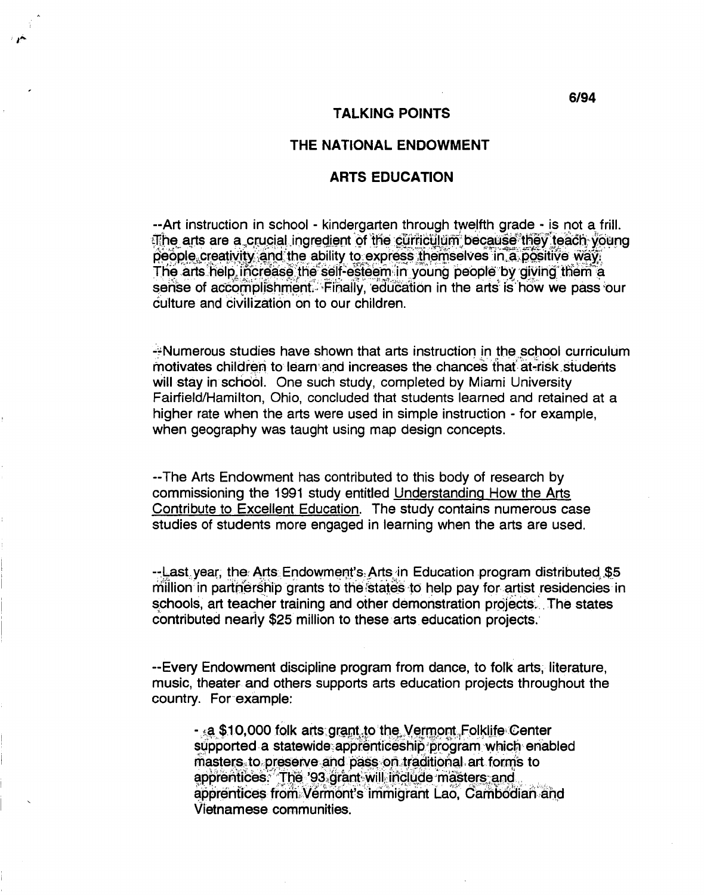#### THE NATIONAL ENDOWMENT

## **ARTS EDUCATION**

-- Art instruction in school - kindergarten through twelfth grade - is not a frill. The arts are a crucial ingredient of the curriculum because they teach young people creativity and the ability to express themselves in a positive way. The arts help increase the self-esteem in young people by giving them a sense of accomplishment. Finally, education in the arts is how we pass our culture and civilization on to our children.

--Numerous studies have shown that arts instruction in the school curriculum motivates children to learn and increases the chances that at-risk students will stay in school. One such study, completed by Miami University Fairfield/Hamilton, Ohio, concluded that students learned and retained at a higher rate when the arts were used in simple instruction - for example, when geography was taught using map design concepts.

--The Arts Endowment has contributed to this body of research by commissioning the 1991 study entitled Understanding How the Arts Contribute to Excellent Education. The study contains numerous case studies of students more engaged in learning when the arts are used.

-- Last year, the Arts Endowment's Arts in Education program distributed \$5 million in partnership grants to the states to help pay for artist residencies in schools, art teacher training and other demonstration projects. The states contributed nearly \$25 million to these arts education projects.

--Every Endowment discipline program from dance, to folk arts, literature, music, theater and others supports arts education projects throughout the country. For example:

- a \$10,000 folk arts grant to the Vermont Folklife Center supported a statewide apprenticeship program which enabled masters to preserve and pass on traditional art forms to apprentices. The '93 grant will include masters and apprentices from Vermont's immigrant Lao, Cambodian and Vietnamese communities.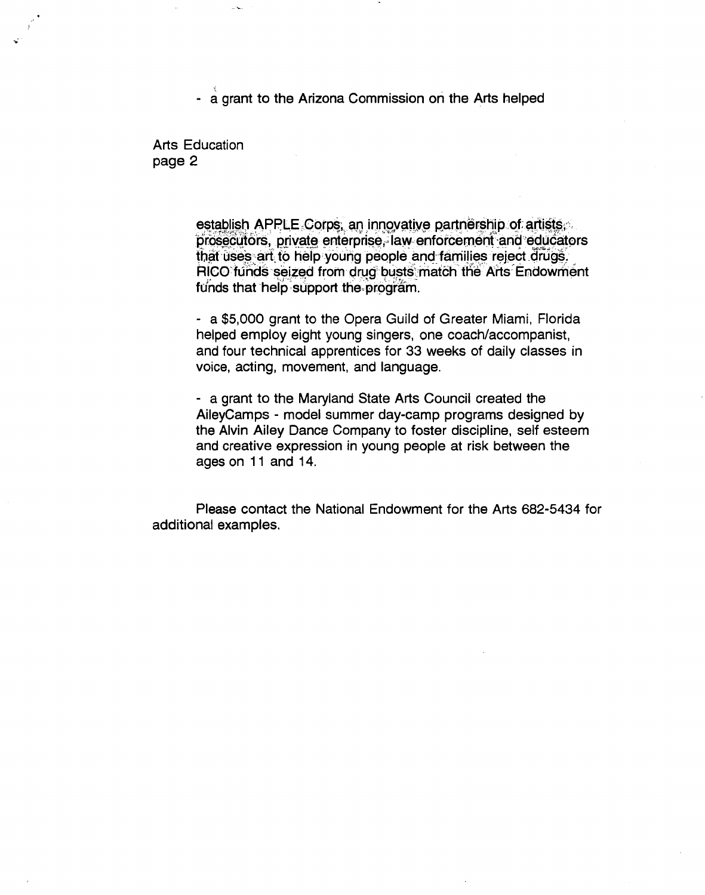- a grant to the Arizona Commission on the Arts helped

Arts Education page 2

 $\mathbf{e}^{\mathrm{c}^{\mathrm{c}}}$ 

establish APPLE Corps, an innovative partnership of artists,<br>prosecutors, private enterprise, law enforcement and educators that uses art to help young people and families reject drugs. RICO funds seized from drug busts match the Arts Endowment funds that help support the program.

- a \$5,000 grant to the Opera Guild of Greater Miami, Florida helped employ eight young singers, one coach/accompanist, and four technical apprentices for 33 weeks of daily classes in voice, acting, movement, and language.

- a grant to the Maryland State Arts Council created the AileyCamps - model summer day-camp programs designed by the Alvin Ailey Dance Company to foster discipline, self esteem and creative expression in young people at risk between the ages on 11 and 14.

Please contact the National Endowment for the Arts 682-5434 for additional examples.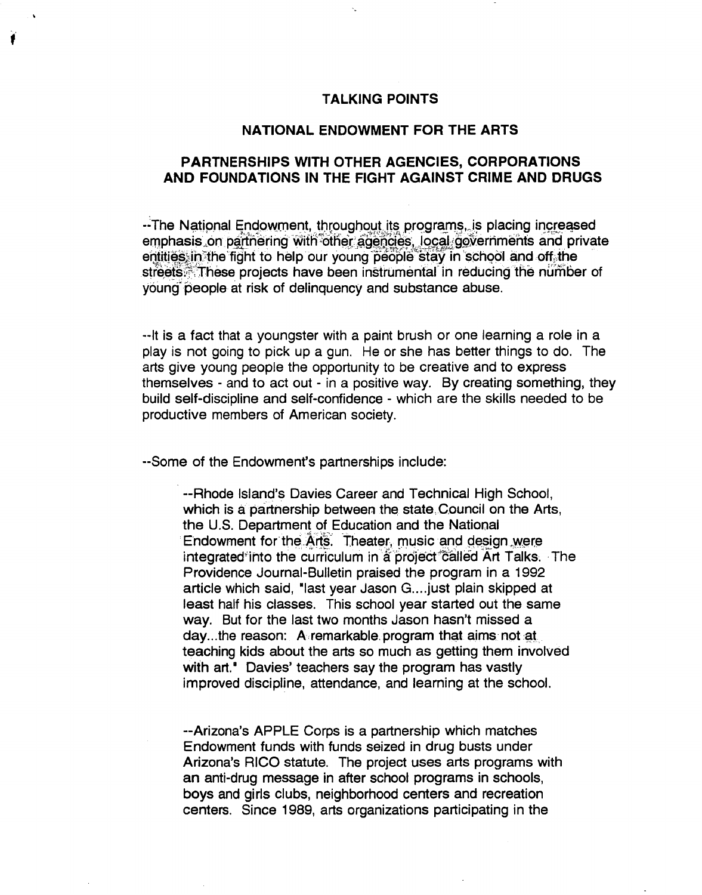### **TALKING POINTS**

#### **NATIONAL ENDOWMENT FOR THE ARTS**

# PARTNERSHIPS WITH OTHER AGENCIES, CORPORATIONS AND FOUNDATIONS IN THE FIGHT AGAINST CRIME AND DRUGS

-- The National Endowment, throughout its programs, is placing increased emphasis on partnering with other agencies, local governments and private entities, in the fight to help our young people stay in school and off the streets. These projects have been instrumental in reducing the number of young people at risk of delinquency and substance abuse.

--It is a fact that a youngster with a paint brush or one learning a role in a play is not going to pick up a gun. He or she has better things to do. The arts give young people the opportunity to be creative and to express themselves - and to act out - in a positive way. By creating something, they build self-discipline and self-confidence - which are the skills needed to be productive members of American society.

--Some of the Endowment's partnerships include:

--Rhode Island's Davies Career and Technical High School. which is a partnership between the state Council on the Arts, the U.S. Department of Education and the National Endowment for the Arts. Theater, music and design were integrated into the curriculum in a project called Art Talks. The Providence Journal-Bulletin praised the program in a 1992 article which said, "last year Jason G.... just plain skipped at least half his classes. This school year started out the same way. But for the last two months Jason hasn't missed a day...the reason: A remarkable program that aims not at teaching kids about the arts so much as getting them involved with art." Davies' teachers say the program has vastly improved discipline, attendance, and learning at the school.

-- Arizona's APPLE Corps is a partnership which matches Endowment funds with funds seized in drug busts under Arizona's RICO statute. The project uses arts programs with an anti-drug message in after school programs in schools, boys and girls clubs, neighborhood centers and recreation centers. Since 1989, arts organizations participating in the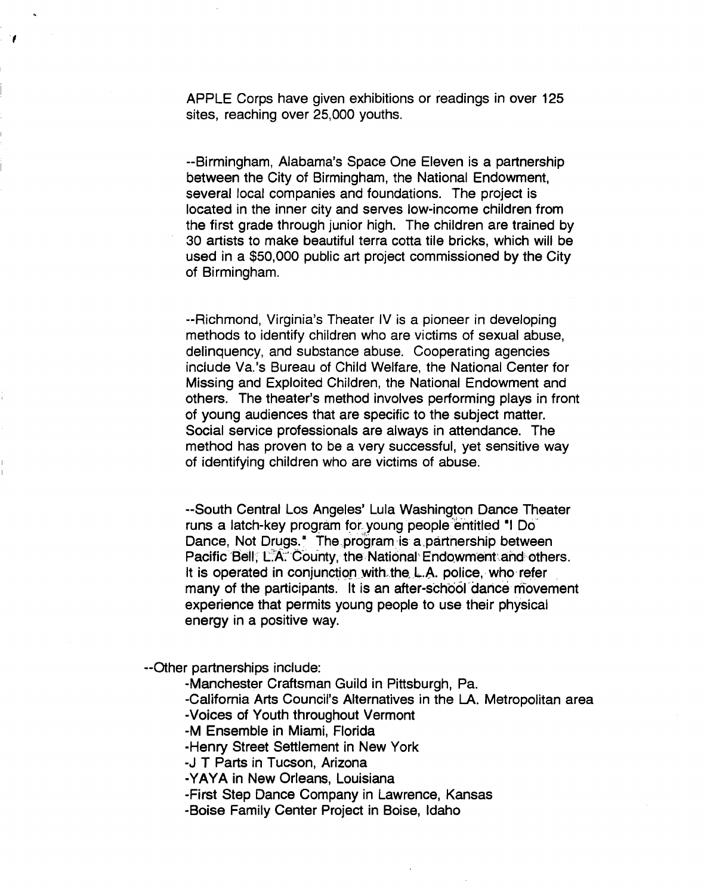APPLE Corps have given exhibitions or readings in over 125 sites, reaching over 25,000 youths.

--Birmingham, Alabama's Space One Eleven is a partnership between the City of Birmingham, the National Endowment, several local companies and foundations. The project is located in the inner city and serves low-income children from the first grade through junior high. The children are trained by 30 artists to make beautiful terra cotta tile bricks, which will be used in a \$50,000 public art project commissioned by the City of Birmingham.

--Richmond, Virginia's Theater IV is a pioneer in developing methods to identify children who are victims of sexual abuse, delinquency, and substance abuse. Cooperating agencies include Va. 's Bureau of Child Welfare, the National Center for Missing and Exploited Children, the National Endowment and others. The theater's method involves performing plays in front of young audiences that are specific to the subject matter. Social service professionals are always in attendance. The method has proven to be a very successful, yet sensitive way of identifying children who are victims of abuse.

--South Central Los Angeles' Lula Washington Dance Theater runs a latch-key program for young people entitled "I Do Dance, Not Drugs.<sup>\*</sup> The program-is a partnership between Pacific Bell; L.A. County, the National Endowment and others. It is operated in conjunction with the  $L.A.$  police, who refer many of the participants. It is an after-school dance movement experience that permits young people to use their physical energy in a positive way.

--Other partnerships include:

,

-Manchester Craftsman Guild in Pittsburgh, Pa.

-California Arts Council's Alternatives in the LA. Metropolitan area -Voices of Youth throughout Vermont

-M Ensemble in Miami, Florida

-Henry Street Settlement in New York

-J T Parts in Tucson, Arizona

-YAYA in New Orleans, Louisiana

-First Step Dance Company in Lawrence, Kansas

-Boise Family Center Project in Boise, Idaho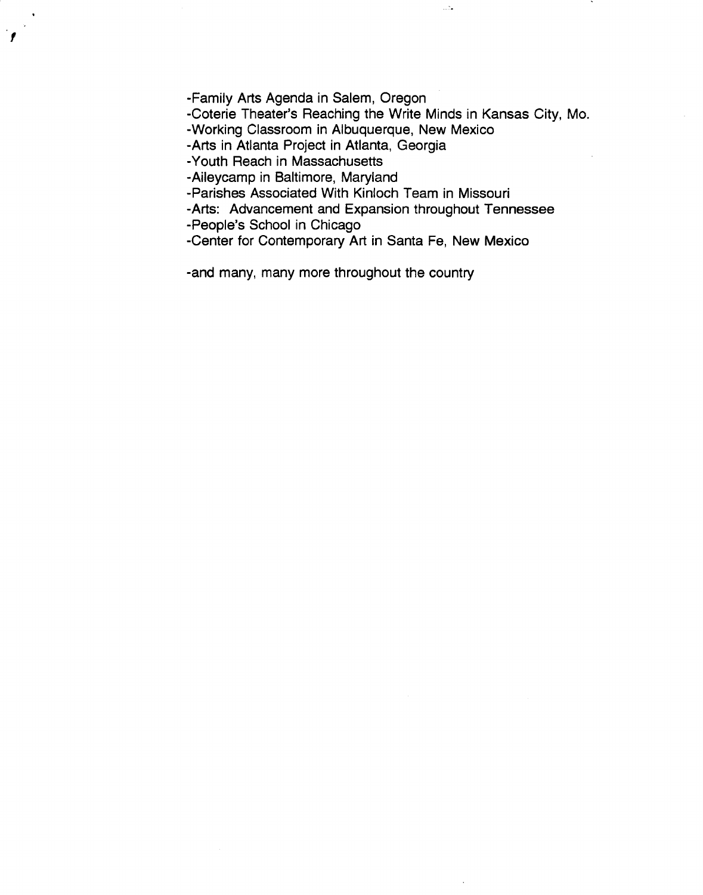-Family Arts Agenda in Salem, Oregon

-Coterie Theater's Reaching the Write Minds in Kansas City, Mo.

-.

-Working Classroom in Albuquerque, New Mexico

-Arts in Atlanta Project in Atlanta, Georgia

-Youth Reach in Massachusetts

 $\mathbf{r}^{\frac{1}{2}}$ 

-Aileycamp in Baltimore, Maryland

-Parishes Associated With Kinloch Team in Missouri

-Arts: Advancement and Expansion throughout Tennessee

-People's School in Chicago

-Center for Contemporary Art in Santa Fe, New Mexico

-and many, many more throughout the country